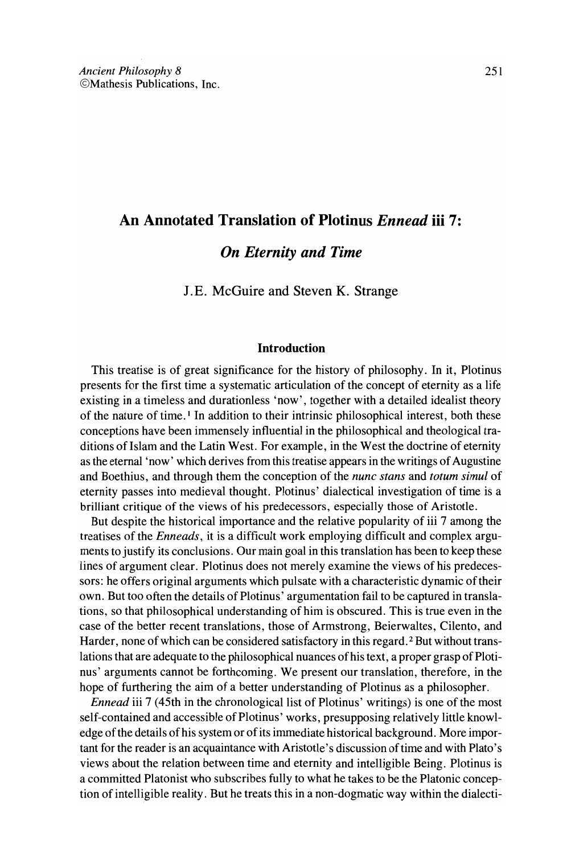# An Annotated Translation of Plotinus *Ennead* iii 7:

## *On Eternity and Time*

J.E. McGuire and Steven K. Strange

## Introduction

This treatise is of great signifieanee for the history of philosophy. In it, Plotinus presents for the first time a systematie artieulation of the concept of eternity as a life existing in.a timeless and durationless 'now', together with a detailed idealist theory of the nature of time.<sup>1</sup> In addition to their intrinsic philosophical interest, both these conceptions have been immensely influential in the philosophical and theological traditions of Islam and the Latin West. For example, in the West the doctrine of eternity as the eternal 'now' which derives from this treatise appears in the writings of Augustine and Boethius, and through them the conception of the *nunc stans* and *totum simul* of eternity passes into medieval thought. Plotinus' dialectical investigation of time is a brilliant eritique of the views of his predeeessors, espeeially those of Aristotle.

But despite the historical importance and the relative popularity of iii 7 among the treatises of the *Enneads,* it is a difficult work employing difficult and eomplex arguments to justify its conclusions. Dur main goal in this translation has been to keep these lines of argument clear. Plotinus does not merely examine the views of his predecessors: he offers original arguments which pulsate with a characteristic dynamic of their own. But too often the details of Plotinus' argumentation fail to be captured in translations, so that philosophical understanding of hirn is obscured. This is true even in the case of the better recent translations, those of Armstrong, Beierwaltes, Cilento, and Harder, none of which can be considered satisfactory in this regard.<sup>2</sup> But without translations that are adequate to the philosophical nuances of his text, a proper grasp of Plotinus' arguments cannot be forthcoming. We present our translation, therefore, in the hope of furthering the aim of a better understanding of Plotinus as a philosopher.

*Ennead* iii 7 (45th in the chronological list of Plotinus' writings) is one of the most self-contained and accessible of Plotinus' works, presupposing relatively little knowledge of the details of his system or of its immediate historical background. More important for the reader is an acquaintance with Aristotle's discussion of time and with Plato's views about the relation between time and eternity and intelligible Being. Plotinus is a committed Platonist who subscribes fully to what he takes to be the Platonic conception ofintelligible reality. But he treats this in a non-dogmatic way within the dialecti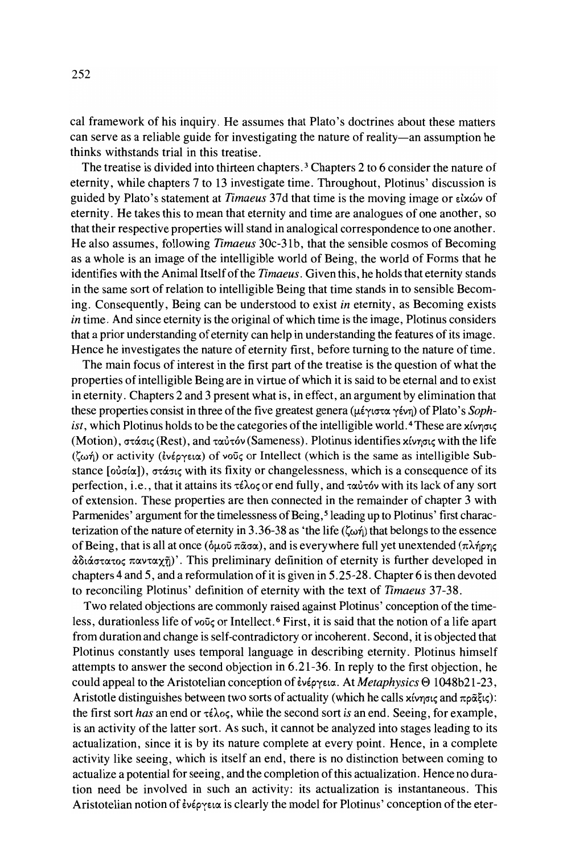cal framework of his inquiry. He assurnes that Plato's doctrines about these matters can serve as a reliable guide for investigating the nature of reality-an assumption he thinks withstands trial in this treatise.

The treatise is divided into thirteen chapters. <sup>3</sup> Chapters 2 to 6 consider the nature of eternity, while chapters 7 to 13 investigate time. Throughout, Plotinus' discussion is guided by Plato's statement at *Timaeus* 37d that time is the moving image or εἰχών of eternity. He takes this to mean that eternity and time are analogues of one another, so that their respective properties will stand in analogical correspondence to one another. He also assumes, following *Timaeus* 30c-31b, that the sensible cosmos of Becoming as a whole is an image of the intelligible world of Being, the world of Forms that he identifies with the Animal Itselfofthe *Timaeus.* Given this, he holds that etemity stands in the same sort ofrelation to intelligible Being that time stands in to sensible Becoming. Consequently, Being can be understood to exist *in* eternity, as Becoming exists *in* time. And since eternity is the original of which time is the image, Plotinus considers that a prior understanding of eternity can help in understanding the features of its image. Hence he investigates the nature of eternity first, before turning to the nature of time.

The main focus of interest in the first part of the treatise is the question of what the properties ofintelligible Being are in virtue ofwhich it is said to be eternal and to exist in eternity. Chapters 2 and 3 present what is, in effect, an argument by elimination that these properties consist in three of the five greatest genera (μέγιστα γένη) of Plato's *Sophist*, which Plotinus holds to be the categories of the intelligible world.<sup>4</sup> These are  $x(y)$ (Motion), στάσις (Rest), and ταὐτόν (Sameness). Plotinus identifies χίνησις with the life  $(\zeta_{\omega\eta})$  or activity (ενέργεια) of νοῦς or Intellect (which is the same as intelligible Substance  $[\omega \sigma(\alpha)]$ ,  $\sigma \tau \dot{\alpha} \sigma(\alpha)$  with its fixity or changelessness, which is a consequence of its perfection, i.e., that it attains its  $\tau \in \lambda$ og or end fully, and  $\tau \alpha \dot{\nu} \tau \dot{\sigma} \nu$  with its lack of any sort of extension. These properties are then connected in the remainder of chapter 3 with Parmenides' argument for the timelessness of Being,<sup>5</sup> leading up to Plotinus' first characterization of the nature of eternity in 3.36-38 as 'the life ( $\zeta \omega \eta$ ) that belongs to the essence of Being, that is all at once ( $\delta \mu$ oῦ πᾶσα), and is everywhere full yet unextended (πλήρης άδιάστατος πανταχῆ)'. This preliminary definition of eternity is further developed in chapters 4 and 5, and a reformulation of it is given in  $5.25-28$ . Chapter 6 is then devoted to reconciling Plotinus' definition of eternity with the text of *Timaeus 37-38.*

Two related objections are commonly raised against Plotinus' conception of the timeless, durationless life of νοῦς or Intellect. <sup>6</sup> First, it is said that the notion of a life apart from duration and change is self-contradictory or incoherent. Second, it is objected that Plotinus constantly uses temporal language in describing eternity. Plotinus himself attempts to answer the second objection in 6.21-36. In reply to the first objection, he could appeal to the Aristotelian conception of *ένέργεια*. At *Metaphysics* Θ 1048b21-23, Aristotle distinguishes between two sorts of actuality (which he calls  $x$  ivn  $\sigma x$  and  $\pi \rho \tilde{\alpha} \xi \iota \varsigma$ ): the first sort *has* an end or τέλος, while the second sort *is* an end. Seeing, for example, is an activity of the latter sort. As such, it cannot be analyzed into stages leading to its actualization, since it is by its nature complete at every point. Hence, in a complete activity like seeing, which is itself an end, there is no distinction between coming to actualize a potential for seeing, and the completion of this actualization. Hence no duration need be involved in such an activity: its actualization is instantaneous. This Aristotelian notion of ένέργεια is clearly the model for Plotinus' conception of the eter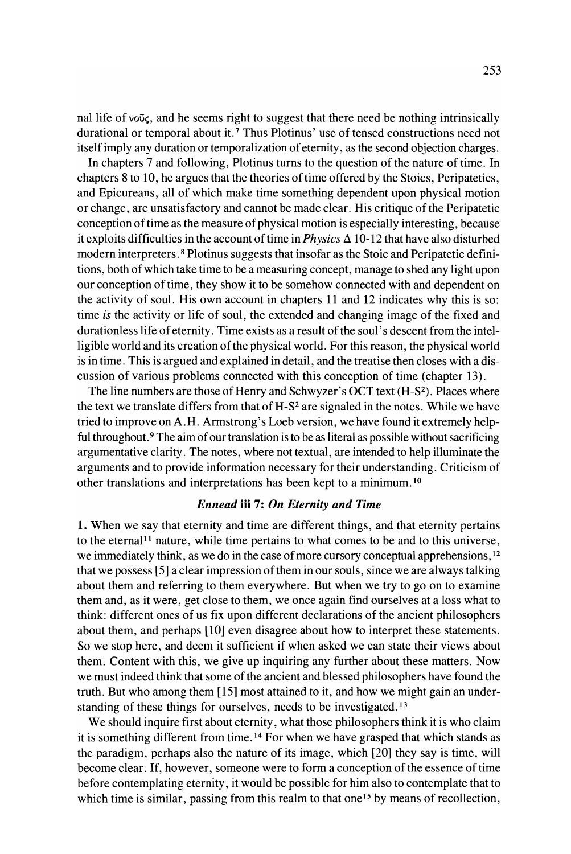nal life of  $\nu\omega\zeta$ , and he seems right to suggest that there need be nothing intrinsically durational or temporal about it.<sup>7</sup> Thus Plotinus' use of tensed constructions need not itself imply any duration or temporalization of eternity, as the second objection charges.

In chapters 7 and following, Plotinus turns to the question of the nature of time. In chapters 8 to 10, he argues that the theories of time offered by the Stoics, Peripatetics, and Epicureans, all of which make time something dependent upon physical motion or change, are unsatisfactory and cannot be made clear. His critique ofthe Peripatetic conception of time as the measure of physical motion is especially interesting, because it exploits difficulties in the account of time in *Physics*  $\Delta$  10-12 that have also disturbed modern interpreters. <sup>8</sup> Plotinus suggests that insofar as the Stoic and Peripatetic definitions, both ofwhich take time to be a measuring concept, manage to shed any light upon our conception oftime, they show it to be somehow connected with and dependent on the activity of soul. His own account in chapters 11 and 12 indicates why this is so: time *is* the activity or life of soul, the extended and changing image of the fixed and durationless life of eternity. Time exists as a result of the soul's descent from the intelligible world and its creation ofthe physical world. For this reason, the physical world is in time. This is argued and explained in detail, and the treatise then closes with a discussion of various problems connected with this conception of time (chapter 13).

The line numbers are those of Henry and Schwyzer's OCT text (H-S<sup>2</sup>). Places where the text we translate differs from that of  $H-S<sup>2</sup>$  are signaled in the notes. While we have tried to improve on A.H. Armstrong's Loeb version, we have found it extremely helpful throughout.<sup>9</sup> The aim of our translation is to be as literal as possible without sacrificing argumentative clarity. The notes, where not textual, are intended to help illuminate the arguments and to provide information necessary for their understanding. Criticism of other translations and interpretations has been kept to a minimum. 10

## *Ennead* iii 7: *On Eternity and Time*

1. When we say that eternity and time are different things, and that eternity pertains to the eternal<sup>11</sup> nature, while time pertains to what comes to be and to this universe, we immediately think, as we do in the case of more cursory conceptual apprehensions,  $12$ that we possess [5] a clear impression ofthem in our souls, since we are always talking about them and referring to them everywhere. But when we try to go on to examine them and, as it were, get close to them, we once again find ourselves at a loss what to think: different ones of us fix upon different declarations of the ancient philosophers about them, and perhaps [10] even disagree about how to interpret these statements. So we stop here, and deem it sufficient if when asked we can state their views about them. Content with this, we give up inquiring any further about these matters. Now we must indeed think that some of the ancient and blessed philosophers have found the truth. But who among them [15] most attained to it, and how we might gain an understanding of these things for ourselves, needs to be investigated.<sup>13</sup>

We should inquire first about eternity, what those philosophers think it is who claim it is something different from time. <sup>14</sup> For when we have grasped that which stands as the paradigm, perhaps also the nature of its image, which [20] they say is time, will become clear. If, however, someone were to form a conception of the essence of time before contemplating eternity, it would be possible for hirn also to contemplate that to which time is similar, passing from this realm to that one<sup>15</sup> by means of recollection,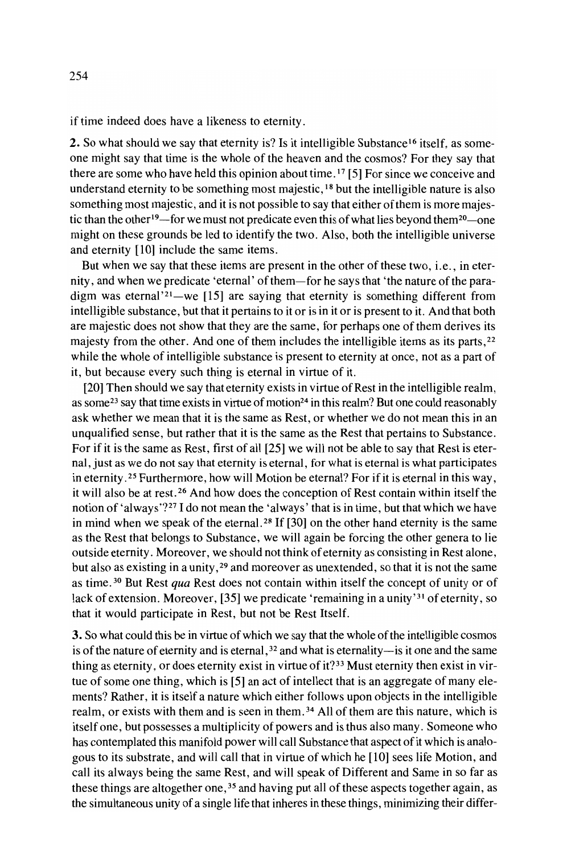if time indeed does have a likeness to eternity.

2. So what should we say that eternity is? Is it intelligible Substance<sup>16</sup> itself, as someone might say that time is the whole of the heaven and the cosmos? For they say that there are some who have held this opinion about time. I? [5] For since we conceive and understand eternity to be something most majestic, 18 but the intelligible nature is also something most majestic, and it is not possible to say that either of them is more majestic than the other<sup>19</sup>—for we must not predicate even this of what lies beyond them<sup>20</sup>—one might on these grounds be led to identify the two. Also, both the intelligible universe and eternity [10] include the same items.

But when we say that these items are present in the other of these two, i.e., in eternity, and when we predicate 'eternal' of them-for he says that 'the nature of the paradigm was eternal<sup>'21</sup>-we [15] are saying that eternity is something different from intelligible substance, but that it pertains to it or is in it or is present to it. And that both are majestic does not show that they are the same, for perhaps one ofthem derives its majesty from the other. And one of them includes the intelligible items as its parts, <sup>22</sup> while the whole of intelligible substance is present to eternity at once, not as a part of it, but because every such thing is eternal in virtue of it.

[20] Then should we say that eternity exists in virtue of Rest in the intelligible realm, as some<sup>23</sup> say that time exists in virtue of motion<sup>24</sup> in this realm? But one could reasonably ask whether we mean that it is the same as Rest, or whether we do not mean this in an unqualified sense, but rather that it is the same as the Rest that pertains to Substance. For if it is the same as Rest, first of all [25] we will not be able to say that Rest is eternal, just as we do not say that eternity is eternal, for what is eternal is what participates in eternity. <sup>25</sup> Furthermore, how will Motion be eternal? For ifit is eternal in this way, it will also be at rest. <sup>26</sup> And how does the conception of Rest contain within itself the notion of 'always'?2? I do not mean the 'always' that is in time, but that which we have in mind when we speak of the eternal.<sup>28</sup> If [30] on the other hand eternity is the same as the Rest that belongs to Substance, we will again be forcing the other genera to lie outside eternity. Moreover, we should not think ofeternity as consisting in Rest alone, but also as existing in a unity, 29 and moreover as unextended, so that it is not the same as time. <sup>30</sup> But Rest *qua* Rest does not contain within itself the concept of unity or of lack of extension. Moreover, [35] we predicate 'remaining in a unity'<sup>31</sup> of eternity, so that it would participate in Rest, but not be Rest Itself.

3. So what could this be in virtue of which we say that the whole of the intelligible cosmos is of the nature of eternity and is eternal,  $32$  and what is eternality-is it one and the same thing as eternity, or does eternity exist in virtue of it?<sup>33</sup> Must eternity then exist in virtue of some one thing, which is  $[5]$  an act of intellect that is an aggregate of many elements? Rather, it is itself a nature which either follows upon objects in the intelligible realm, or exists with them and is seen in them.<sup>34</sup> All of them are this nature, which is itself one, but possesses a multiplicity of powers and is thus also many. Someone who has contemplated this manifold power will call Substance that aspect of it which is analogous to its substrate, and will call that in virtue ofwhich he [10] sees life Motion, and call its always being the same Rest, and will speak of Different and Same in so far as these things are altogether one,  $35$  and having put all of these aspects together again, as the simultaneous unity of a single life that inheres in these things, minimizing their differ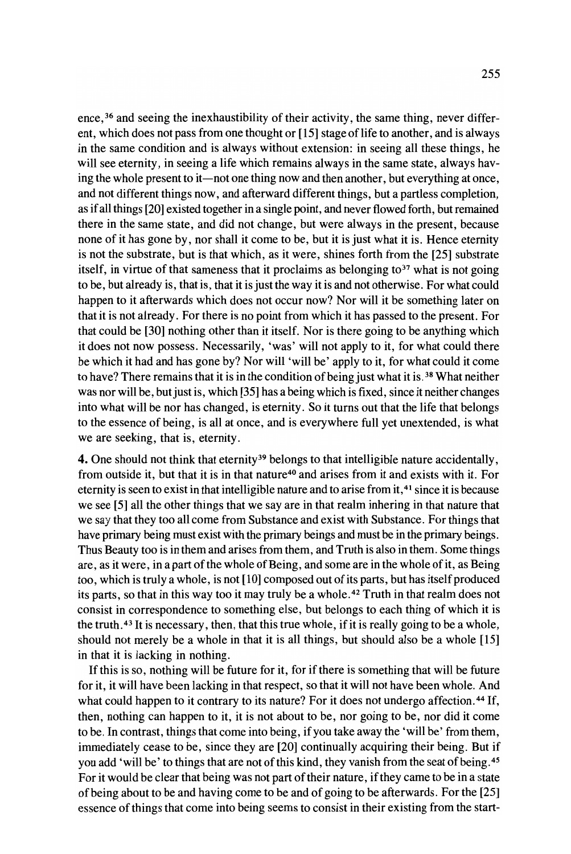ence,<sup>36</sup> and seeing the inexhaustibility of their activity, the same thing, never different, which does not pass from one thought or [15] stage of life to another, and is always in the same condition and is always without extension: in seeing all these things, he will see eternity, in seeing a life which remains always in the same state, always having the whole present to it—not one thing now and then another, but everything at once, and not different things now, and afterward different things, but a partless completion, as ifall things [20] existed together in a single point, and never flowed forth, but remained there in the same state, and did not change, but were always in the present, because none of it has gone by, nor shall it come to be, but it is just what it is. Hence eternity is not the substrate, but is that which, as it were, shines forth from the [25] substrate itself, in virtue of that sameness that it proclaims as belonging to<sup>37</sup> what is not going to be, but already is, that is, that it isjust the way it is and not otherwise. For what could happen to it afterwards which does not occur now? Nor will it be something later on that it is not already. For there is no point from which it has passed to the present. For that could be [30] nothing other than it itself. Nor is there going to be anything which it does not now possess. Necessarily, 'was' will not apply to it, for what could there be which it had and has gone by? Nor will 'will be' apply to it, for what could it come to have? There remains that it is in the condition of being just what it is.<sup>38</sup> What neither was nor will be, but just is, which [35] has a being which is fixed, since it neither changes into what will be nor has changed, is eternity. So it turns out that the life that belongs to the essence of being, is all at once, and is everywhere full yet unextended, is what we are seeking, that is, eternity.

4. One should not think that eternity<sup>39</sup> belongs to that intelligible nature accidentally, from outside it, but that it is in that nature<sup>40</sup> and arises from it and exists with it. For eternity is seen to exist in that intelligible nature and to arise from it,<sup>41</sup> since it is because we see [5] all the other things that we say are in that realm inhering in that nature that we say that they too all come from Substance and exist with Substance. For things that have primary being must exist with the primary beings and must be in the primary beings. Thus Beauty too is in them and arises from them, and Truth is also in them. Some things are, as it were, in a part of the whole of Being, and some are in the whole of it, as Being too, which is truly a whole, is not [10] composed out ofits parts, but has itselfproduced its parts, so that in this way too it may truly be a whole. 42 Truth in that realm does not consist in correspondence to something else, but belongs to each thing of which it is the truth.  $43$  It is necessary, then, that this true whole, if it is really going to be a whole, should not merely be a whole in that it is all things, but should also be a whole [15] in that it is lacking in nothing.

If this is so, nothing will be future for it, for if there is something that will be future for it, it will have been lacking in that respect, so that it will not have been whole. And what could happen to it contrary to its nature? For it does not undergo affection.<sup>44</sup> If, then, nothing can happen to it, it is not about to be, nor going to be, nor did it come to be. In contrast, things that come into being, if you take away the 'will be' from them, immediately cease to be, since they are [20] continually acquiring their being. But if you add 'will be' to things that are not of this kind, they vanish from the seat of being. <sup>45</sup> For it would be clear that being was not part of their nature, if they came to be in a state ofbeing about to be and having come to be and of going to be afterwards. For the [25] essence ofthings that come into being seems to consist in their existing from the start-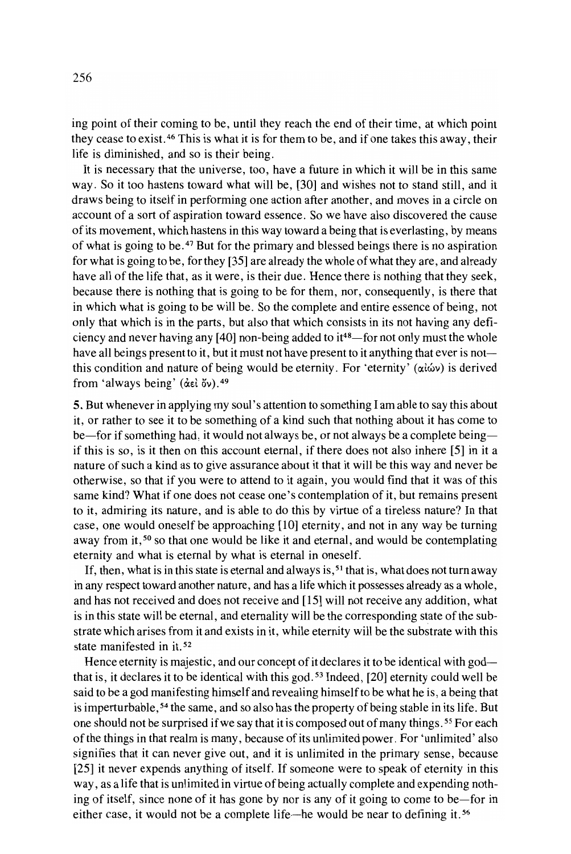ing point of their coming to be, until they reach the end of their time, at which point they cease to exist. 46 This is what it is for them to be, and if one takes this away, their life is diminished, and so is their being.

It is necessary that the universe, too, have a future in which it will be in this same way. So it too hastens toward what will be, [30] and wishes not to stand still, and it draws being to itself in performing one action after another, and moves in a circle on account of a sort of aspiration toward essence. So we have also discovered the cause ofits movement, which hastens in this way toward a being that is everlasting, by means of what is going to be. <sup>47</sup> But for the primary and blessed beings there is no aspiration for what is going to be, for they  $[35]$  are already the whole of what they are, and already have all of the life that, as it were, is their due. Hence there is nothing that they seek, because there is nothing that is going to be for them, nor, consequently, is there that in which what is going to be will be. So the complete and entire essence of being, not only that which is in the parts, but also that which consists in its not having any deficiency and never having any  $[40]$  non-being added to it<sup>48</sup>—for not only must the whole have all beings present to it, but it must not have present to it anything that ever is not this condition and nature of being would be eternity. For 'eternity' ( $\alpha\hat{i}\omega\nu$ ) is derived from 'always being' (del ov).<sup>49</sup>

5. But whenever in applying my soul's attention to something I am able to say this about it, or rather to see it to be something of a kind such that nothing about it has come to be-for if something had, it would not always be, or not always be a complete beingif this is so, is it then on this account eternal, if there does not also inhere [5] in it a nature ofsuch a kind as to give assurance about it that it will be this way and never be otherwise, so that if you were to attend to it again, you would find that it was of this same kind? What if one does not cease one's contemplation of it, but remains present to it, admiring its nature, and is able to do this by virtue of a tireless nature? In that case, one would oneself be approaching [10] eternity, and not in any way be turning away from it,<sup>50</sup> so that one would be like it and eternal, and would be contemplating eternity and what is eternal by what is eternal in oneself.

If, then, what is in this state is eternal and always is,  $51$  that is, what does not turn away in any respect toward another nature, and has a life which it possesses already as a whole, and has not received and does not receive and [15] will not receive any addition, what is in this state will be eternal, and eternality will be the corresponding state of the substrate which arises from it and exists in it, while eternity will be the substrate with this state manifested in it. <sup>52</sup>

Hence eternity is majestic, and our concept of it declares it to be identical with god $$ that is, it declares it to be identical with this god. <sup>53</sup> Indeed, [20] eternity could weIl be said to be a god manifesting hirnself and revealing hirnselfto be what he is, a being that is imperturbable, <sup>54</sup> the same, and so also has the property of being stable in its life. But one should not be surprised if we say that it is composed out of many things.<sup>55</sup> For each of the things in that realm is many, because of its unlimited power. For 'unlimited' also signifies that it can never give out, and it is unlimited in the primary sense, because [25] it never expends anything of itself. If someone were to speak of eternity in this way, as a life that is unlimited in virtue of being actually complete and expending nothing of itself, since none of it has gone by nor is any of it going to come to be-for in either case, it would not be a complete life-he would be near to defining it.<sup>56</sup>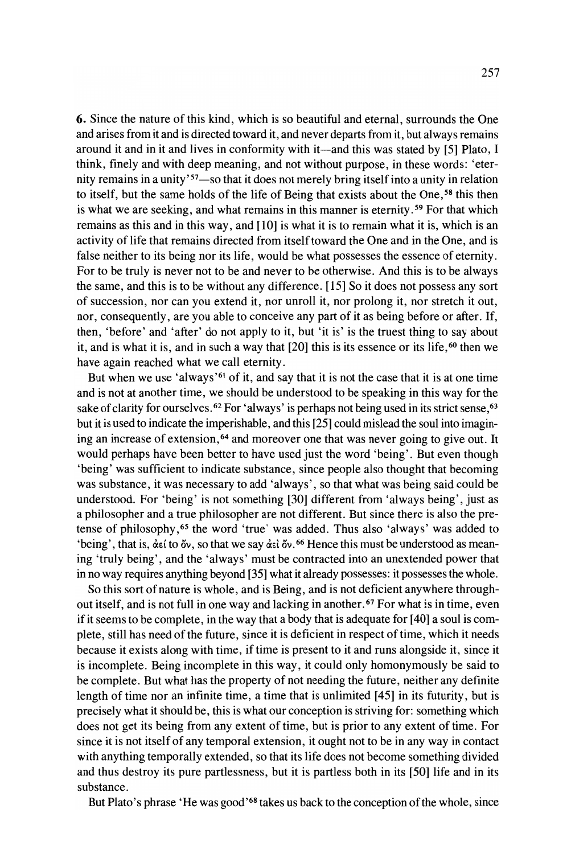6. Since the nature of this kind, which is so beautiful and eternal, surrounds the One and arises from it and is directed toward it, and never departs from it, but always remains around it and in it and lives in conformity with it—and this was stated by [5] Plato, I think, finely and with deep meaning, and not without purpose, in these words: 'eternity remains in a unity'<sup>57</sup>-so that it does not merely bring itself into a unity in relation to itself, but the same holds of the life of Being that exists about the One,<sup>58</sup> this then is what we are seeking, and what remains in this manner is eternity. <sup>59</sup> For that which remains as this and in this way, and [10] is what it is to remain what it is, which is an activity of life that remains directed from itself toward the One and in the One, and is false neither to its being nor its life, would be what possesses the essence of eternity. For to be truly is never not to be and never to be otherwise. And this is to be always the same, and this is to be without any difference. [15] So it does not possess any sort of succession, nor can you extend it, nor unroll it, nor prolong it, nor stretch it out, nor, consequently, are you able to conceive any part of it as being before or after. If, then, 'before' and 'after' do not apply to it, but 'it is' is the truest thing to say about it, and is what it is, and in such a way that  $[20]$  this is its essence or its life,<sup>60</sup> then we have again reached what we call eternity.

But when we use 'always'61 of it, and say that it is not the case that it is at one time and is not at another time, we should be understood to be speaking in this way for the sake of clarity for ourselves. <sup>62</sup> For 'always' is perhaps not being used in its strict sense, <sup>63</sup> but it is used to indicate the imperishable, and this [25] could mislead the soul into imagining an increase of extension, <sup>64</sup> and moreover one that was never going to give out. It would perhaps have been better to have used just the word 'being'. But even though 'being' was sufficient to indicate substance, since people also thought that becoming was substance, it was necessary to add 'always', so that what was being said could be understood. For 'being' is not something [30] different from 'always being', just as a philosopher and a true philosopher are not different. But since there is also the pretense of philosophy, <sup>65</sup> the word 'true' was added. Thus also 'always' was added to 'being', that is,  $\det$  to  $\delta v$ , so that we say  $\det \delta v$ . <sup>66</sup> Hence this must be understood as meaning 'truly being' , and the 'always' must be contracted into an unextended power that in no way requires anything beyond [35] what it already possesses: it possesses the whole.

So this sort of nature is whole, and is Being, and is not deficient anywhere throughout itself, and is not full in one way and lacking in another. <sup>67</sup> For what is in time, even if it seems to be complete, in the way that a body that is adequate for [40] a soul is complete, still has need of the future, since it is deficient in respect of time, which it needs because it exists along with time, if time is present to it and runs alongside it, since it is incomplete. Being incomplete in this way, it could only homonymously be said to be complete. But what has the property of not needing the future, neither any definite length of time nor an infinite time, a time that is unlimited [45] in its futurity, but is precisely what it should be, this is what our conception is striving for: something which does not get its being from any extent of time, but is prior to any extent of time. For since it is not itself of any temporal extension, it ought not to be in any way in contact with anything temporally extended, so that its life does not become something divided and thus destroy its pure partlessness, but it is partless both in its [50] life and in its substance.

But Plato's phrase 'He was good'<sup>68</sup> takes us back to the conception of the whole, since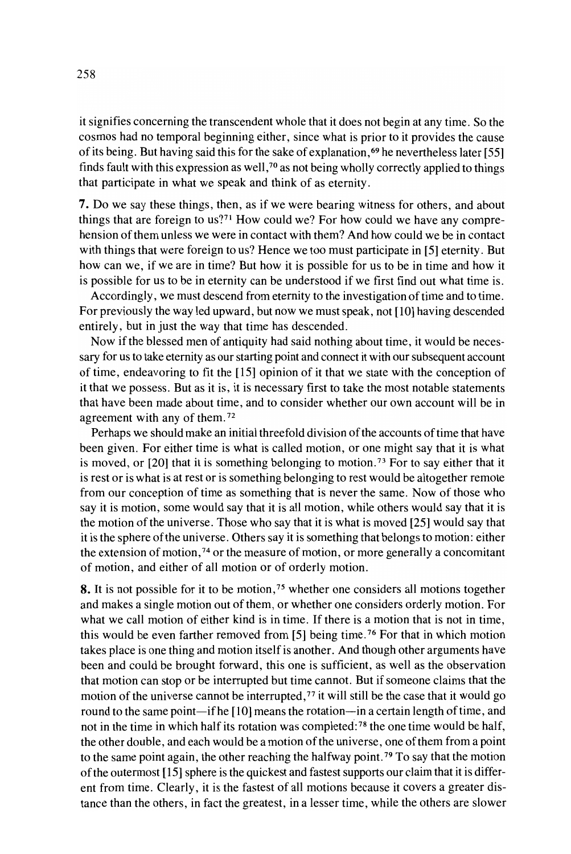it signifies concerning the transcendent whole that it does not begin at any time. So the cosmos had no temporal beginning either, since what is prior to it provides the cause of its being. But having said this for the sake of explanation,<sup>69</sup> he nevertheless later [55] finds fault with this expression as well,  $70$  as not being wholly correctly applied to things that participate in what we speak and think of as eternity.

7. 00 we say these things, then, as if we were bearing witness for others, and about things that are foreign to us?<sup>71</sup> How could we? For how could we have any comprehension ofthem unless we were in contact with them? And how could we be in contact with things that were foreign to us? Hence we too must participate in [5] eternity. But how can we, if we are in time? But how it is possible for us to be in time and how it is possible for us to be in eternity can be understood if we first find out what time is.

Accordingly, we must descend from eternity to the investigation of time and to time. For previously the way led upward, but now we must speak, not [10] having descended entirely, but in just the way that time has descended.

Now if the blessed men of antiquity had said nothing about time, it would be necessary for us to take etemity as our starting point and connect it with our subsequent account of time, endeavoring to fit the [15] opinion of it that we state with the conception of it that we possess. But as it is, it is necessary first to take the most notable statements that have been made about time, and to consider whether our own account will be in agreement with any of them. <sup>72</sup>

Perhaps we should make an initial threefold division ofthe accounts oftime that have been given. For either time is what is called motion, or one might say that it is what is moved, or  $[20]$  that it is something belonging to motion.<sup>73</sup> For to say either that it is rest or is what is at rest or is something belonging to rest would be altogether remote from our conception of time as something that is never the same. Now of those who say it is motion, some would say that it is all motion, while others would say that it is the motion ofthe universe. Those who say that it is what is moved [25] would say that it is the sphere ofthe universe . Others say it is something that belongs to motion: either the extension of motion, <sup>74</sup> or the measure of motion, or more generally a concomitant of motion, and either of all motion or of order!y motion.

8. It is not possible for it to be motion,<sup>75</sup> whether one considers all motions together and makes a single motion out of them, or whether one considers orderly motion. For what we call motion of either kind is in time. If there is a motion that is not in time, this would be even farther removed from [5] being time. <sup>76</sup> For that in which motion takes place is one thing and motion itselfis another. And though other arguments have been and could be brought forward, this one is sufficient, as weIl as the observation that motion can stop or be interrupted but time cannot. But if someone claims that the motion of the universe cannot be interrupted,<sup>77</sup> it will still be the case that it would go round to the same point-if he [10] means the rotation-in a certain length of time, and not in the time in which half its rotation was completed: <sup>78</sup> the one time would be half, the other double, and each would be a motion of the universe, one of them from a point to the same point again, the other reaching the halfway point.<sup>79</sup> To say that the motion of the outermost  $[15]$  sphere is the quickest and fastest supports our claim that it is different from time. Clearly, it is the fastest of all motions because it covers a greater distance than the others, in fact the greatest, in a lesser time, while the others are slower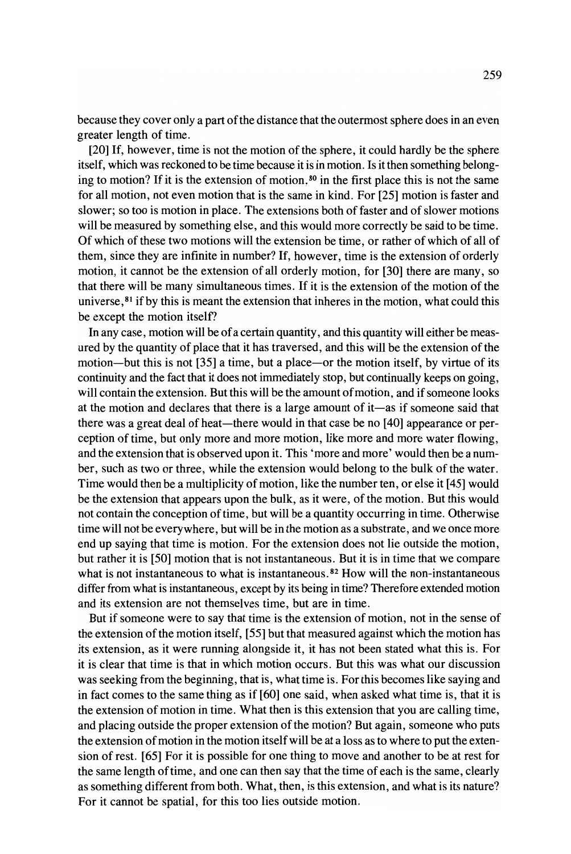because they cover only a part of the distance that the outermost sphere does in an even greater length of time.

[20] If, however, time is not the motion of the sphere, it could hardly be the sphere itself, which was reckoned to be time because it is in motion. Is it then something belonging to motion? If it is the extension of motion, <sup>80</sup> in the first place this is not the same for all motion, not even motion that is the same in kind. For [25] motion is faster and slower; so too is motion in place. The extensions both of faster and of slower motions will be measured by something else, and this would more correctly be said to be time. Of which of these two motions will the extension be time, or rather of which of all of them, since they are infinite in number? If, however, time is the extension of orderly motion, it cannot be the extension of all orderly motion, for [30] there are many, so that there will be many simultaneous times. If it is the extension of the motion of the universe,  $81$  if by this is meant the extension that inheres in the motion, what could this be except the motion itself?

In any case, motion will be of a certain quantity, and this quantity will either be measured by the quantity of place that it has traversed, and this will be the extension of the motion-but this is not [35] a time, but a place-or the motion itself, by virtue of its continuity and the fact that it does not immediately stop, but continually keeps on going, will contain the extension. But this will be the amount of motion, and if someone looks at the motion and declares that there is a large amount of it-as if someone said that there was a great deal of heat-there would in that case be no [40] appearance or perception of time, but only more and more motion, like more and more water flowing, and the extension that is observed upon it. This 'more and more' would then be a number, such as two or three, while the extension would belong to the bulk of the water. Time would then be a multiplicity of motion, like the number ten, or else it [45] would be the extension that appears upon the bulk, as it were, of the motion. But this would not contain the conception oftime, but will be a quantity occurring in time. Otherwise time will not be everywhere, but will be in the motion as a substrate, and we once more end up saying that time is motion. For the extension does not lie outside the motion, but rather it is [50] motion that is not instantaneous. But it is in time that we compare what is not instantaneous to what is instantaneous.<sup>82</sup> How will the non-instantaneous differ from what is instantaneous, except by its being in time? Therefore extended motion and its extension are not themselves time, but are in time.

But if someone were to say that time is the extension of motion, not in the sense of the extension of the motion itself, [55] but that measured against which the motion has its extension, as it were running alongside it, it has not been stated what this is. For it is clear that time is that in which motion occurs. But this was what our discussion was seeking from the beginning, that is, what time is. For this becomes like saying and in fact comes to the same thing as if [60] one said, when asked what time is, that it is the extension of motion in time. What then is this extension that you are calling time, and placing outside the proper extension of the motion? But again, someone who puts the extension of motion in the motion itself will be at a loss as to where to put the extension of rest. [65] For it is possible for one thing to move and another to be at rest for the same length of time, and one can then say that the time of each is the same, clearly as something different from both. What, then, is this extension, and what is its nature? For it cannot be spatial, for this too lies outside motion.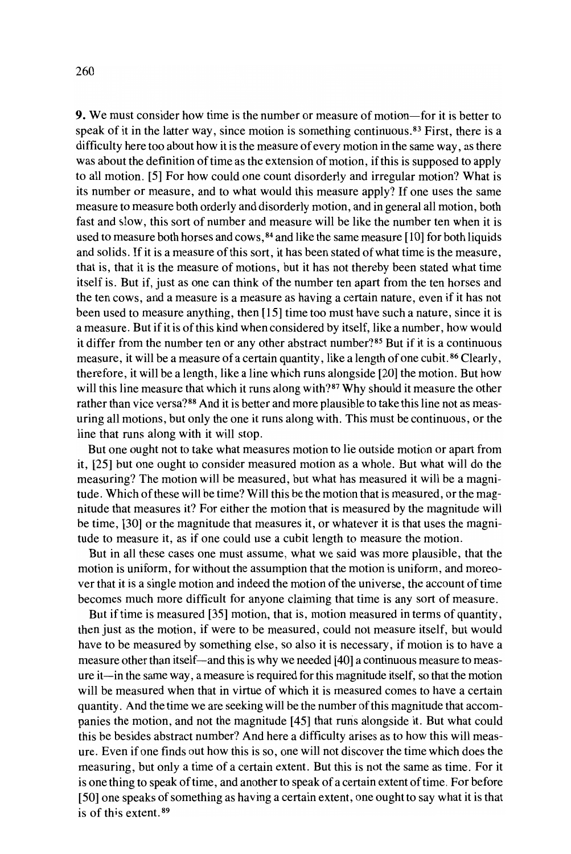9. We must consider how time is the number or measure of motion-for it is better to speak of it in the latter way, since motion is something continuous.<sup>83</sup> First, there is a difficulty here too about how it is the measure of every motion in the same way, as there was about the definition of time as the extension of motion, if this is supposed to apply to all motion. [5] For how could one count disorderly and irregular motion? What is its number or measure, and to what would this measure apply? If one uses the same measure to measure both orderly and disorderly motion, and in general all motion, both fast and slow, this sort of number and measure will be like the number ten when it is used to measure both horses and cows, 84 and like the same measure [10] for both liquids and solids. If it is a measure of this sort, it has been stated of what time is the measure, that is, that it is the measure of motions, but it has not thereby been stated what time itself is. But if, just as one can think of the number ten apart from the ten horses and the ten cows, and a measure is a measure as having a certain nature, even if it has not been used to measure anything, then [15] time too must have such a nature, since it is a measure. But if it is of this kind when considered by itself, like a number, how would it differ from the number ten or any other abstract number?85 But if it is a continuous measure, it will be a measure of a certain quantity, like a length ofone cubit. <sup>86</sup> Clearly, therefore, it will be a length, like a line which runs alongside [20] the motion. But how will this line measure that which it runs along with?<sup>87</sup> Why should it measure the other rather than vice versa?<sup>88</sup> And it is better and more plausible to take this line not as measuring all motions, but only the one it runs along with. This must be continuous, or the line that runs along with it will stop.

But one ought not to take what measures motion to lie outside motion or apart from it, [25] but one ought to consider measured motion as a whole. But what will do the measuring? The motion will be measured, but what has measured it will be a magnitude. Which of these will be time? Will this be the motion that is measured, or the magnitude that measures it? For either the motion that is measured by the magnitude will be time, [30] or the magnitude that measures it, or whatever it is that uses the magnitude to measure it, as if one could use a cubit length to measure the motion.

But in all these cases one must assurne, what we said was more plausible, that the motion is uniform, for without the assumption that the motion is uniform, and moreover that it is a single motion and indeed the motion of the universe, the account of time becomes much more difficult for anyone claiming that time is any sort of measure.

But if time is measured [35] motion, that is, motion measured in terms of quantity, then just as the motion, if were to be measured, could not measure itself, but would have to be measured by something else, so also it is necessary, if motion is to have a measure other than itself-and this is why we needed [40] a continuous measure to measure it- in the same way, a measure is required for this magnitude itself, so that the motion will be measured when that in virtue of which it is measured comes to have a certain quantity. And the time we are seeking will be the number ofthis magnitude that accompanies the motion, and not the magnitude [45] that runs alongside it. But what could this be besides abstract number? And here a difficulty arises as to how this will measure. Even if one finds out how this is so, one will not discover the time which does the measuring, but only a time of a certain extent. But this is not the same as time. For it is one thing to speak of time, and another to speak of a certain extent of time. For before [50] one speaks of something as having a certain extent, one ought to say what it is that is of this extent.<sup>89</sup>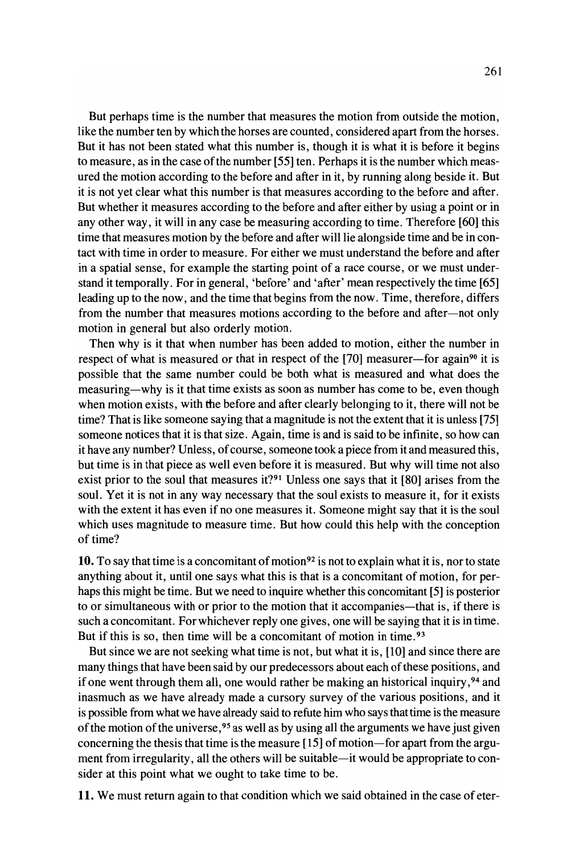But perhaps time is the number that measures the motion from outside the motion, like the number ten by which the horses are counted, considered apart from the horses. But it has not been stated what this number is, though it is what it is before it begins to measure, as in the case of the number [55] ten. Perhaps it is the number which measured the motion according to the before and after in it, by running along beside it. But it is not yet clear what this number is that measures according to the before and after. But whether it measures according to the before and after either by using a point or in any other way, it will in any case be measuring according to time. Therefore [60] this time that measures motion by the before and after willlie alongside time and be in contact with time in order to measure. For either we must understand the before and after in a spatial sense, for example the starting point of a race course, or we must understand it temporally. For in general, 'before' and 'after' mean respectively the time [65] leading up to the now, and the time that begins from the now. Time, therefore, differs from the number that measures motions according to the before and after-not only motion in general but also orderly motion.

Then why is it that when nurnber has been added to motion, either the number in respect of what is measured or that in respect of the  $[70]$  measurer-for again<sup>90</sup> it is possible that the same number could be both what is measured and what does the measuring-why is it that time exists as soon as number has come to be, even though when motion exists, with the before and after clearly belonging to it, there will not be time? That is like someone saying that a magnitude is not the extent that it is unless [75] someone notices that it is that size. Again, time is and is said to be infinite, so how can it have any number? Unless, of course, someone took a piece from it and measured this, but time is in that piece as weIl even before it is measured. But why will time not also exist prior to the soul that measures it?<sup>91</sup> Unless one says that it [80] arises from the soul. Yet it is not in any way necessary that the soul exists to measure it, for it exists with the extent it has even if no one measures it. Someone might say that it is the soul which uses magnitude to measure time. But how could this help with the conception of time?

10. To say that time is a concomitant of motion<sup>92</sup> is not to explain what it is, nor to state anything about it, until one says what this is that is a concomitant of motion, for perhaps this might be time. But we need to inquire whether this concomitant [5] is posterior to or simultaneous with or prior to the motion that it accompanies—that is, if there is such a concomitant. For whichever reply one gives, one will be saying that it is in time. But if this is so, then time will be a concomitant of motion in time. <sup>93</sup>

But since we are not seeking what time is not, but what it is, [10] and since there are many things that have been said by our predecessors about each of these positions, and if one went through them all, one would rather be making an historical inquiry ,94 and inasmuch as we have already made a cursory survey of the various positions, and it is possible from what we have already said to refute him who says that time is the measure of the motion of the universe,  $95$  as well as by using all the arguments we have just given concerning the thesis that time is the measure  $[15]$  of motion-for apart from the argument from irregularity, all the others will be suitable—it would be appropriate to consider at this point what we ought to take time to be.

**11.** We must return again to that condition which we said obtained in the case of eter-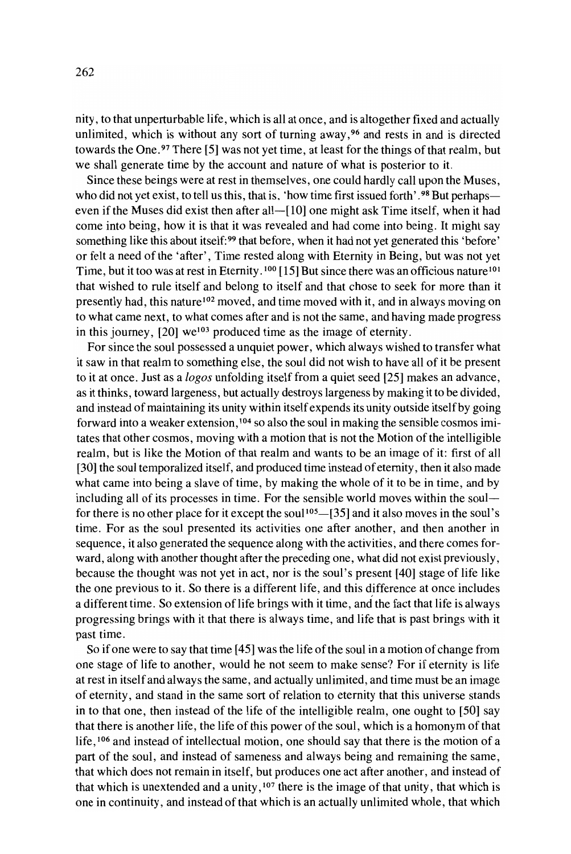nity, to that unperturbable life, which is all at once, and is altogether fixed and actually unlimited, which is without any sort of turning away, <sup>96</sup> and rests in and is directed towards the One.<sup>97</sup> There [5] was not yet time, at least for the things of that realm, but we shall generate time by the account and nature of what is posterior to it.

Since these beings were at rest in themselves, one could hardly call upon the Muses, who did not yet exist, to tell us this, that is, 'how time first issued forth'.<sup>98</sup> But perhapseven if the Muses did exist then after all-[10] one might ask Time itself, when it had come into being, how it is that it was revealed and had come into being. It might say something like this about itself:<sup>99</sup> that before, when it had not yet generated this 'before' or felt a need of the 'after', Time rested along with Eternity in Being, but was not yet Time, but it too was at rest in Eternity.<sup>100</sup> [15] But since there was an officious nature<sup>101</sup> that wished to rule itself and belong to itself and that chose to seek for more than it presently had, this nature <sup>102</sup> moved, and time moved with it, and in always moving on to what came next, to what comes after and is not the same, and having made progress in this journey,  $[20]$  we<sup>103</sup> produced time as the image of eternity.

For since the soul possessed a unquiet power, which always wished to transfer what it saw in that realm to something else, the soul did not wish to have all of it be present to it at once. Just as a *logos* unfolding itself from a quiet seed [25] makes an advance, as it thinks, toward largeness, but actually destroys largeness by making it to be divided, and instead of maintaining its unity within itself expends its unity outside itself by going forward into a weaker extension, <sup>104</sup> so also the soul in making the sensible cosmos imitates that other cosmos, moving with a motion that is not the Motion ofthe intelligible realm, but is like the Motion of that realm and wants to be an image of it: first of all [30] the soul temporalized itself, and produced time instead of eternity, then it also made what came into being a slave of time, by making the whole of it to be in time, and by including all of its processes in time. For the sensible world moves within the soul for there is no other place for it except the soul<sup>105</sup> $-$ [35] and it also moves in the soul's time. For as the soul presented its activities one after another, and then another in sequence, it also generated the sequence along with the activities, and there comes forward, along with another thought after the preceding one, what did not exist previously, because the thought was not yet in act, nor is the soul's present [40] stage of life like the one previous to it. So there is a different life, and this difference at once includes a different time. So extension of life brings with it time, and the fact that life is always progressing brings with it that there is always time, and life that is past brings with it past time.

So if one were to say that time [45] was the life of the soul in a motion of change from one stage of life to another, would he not seem to make sense? For if eternity is life at rest in itself and always the same, and actually unlimited, and time must be an image of eternity, and stand in the same sort of relation to eternity that this universe stands in to that one, then instead of the life of the intelligible realm, one ought to  $[50]$  say that there is another life, the life of this power of the soul, which is a homonym of that life, <sup>106</sup> and instead of intellectual motion, one should say that there is the motion of a part of the soul, and instead of sameness and always being and remaining the same, that which does not remain in itself, but produces one act after another, and instead of that which is unextended and a unity, <sup>107</sup> there is the image of that unity, that which is one in continuity, and instead of that which is an actually unlimited whole, that which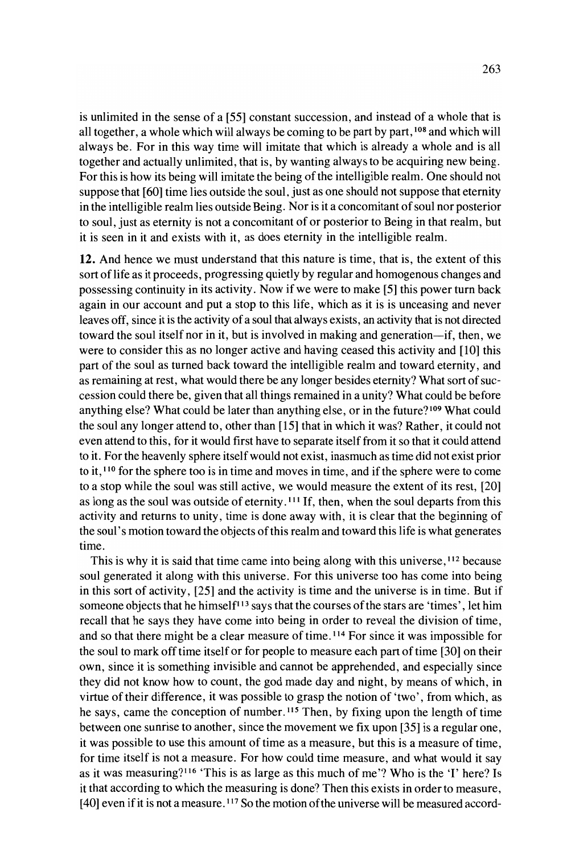is unlimited in the sense of a [55] constant succession, and instead of a whole that is all together, a whole which will always be coming to be part by part, 108 and which will always be. For in this way time will imitate that which is already a whole and is all together and actually unlimited, that is, by wanting always to be acquiring new being. For this is how its being will imitate the being of the intelligible realm. One should not suppose that [60] time lies outside the soul, just as one should not suppose that eternity in the intelligible realm lies outside Being. Nor is it a concomitant of soul nor posterior to soul, just as eternity is not a concomitant of or posterior to Being in that realm, but it is seen in it and exists with it, as does eternity in the intelligible realm.

12. And hence we must understand that this nature is time, that is, the extent of this sort oflife as it proceeds, progressing quietly by regular and homogenous changes and possessing continuity in its activity. Now if we were to make [5] this power turn back again in our account and put a stop to this life, which as it is is unceasing and never leaves off, since it is the activity of a soul that always exists, an activity that is not directed toward the soul itself nor in it, but is involved in making and generation-if, then, we were to consider this as no longer active and having ceased this activity and [10] this part of the soul as turned back toward the intelligible realm and toward eternity, and as remaining at rest, what would there be any longer besides eternity? What sort of succession could there be, given that all things remained in a unity? What could be before anything else? What could be later than anything else, or in the future? <sup>109</sup> What could the soul any longer attend to, other than [15] that in which it was? Rather, it could not even attend to this, for it would first have to separate itself from it so that it could attend to it. For the heavenly sphere itselfwould not exist, inasmuch as time did not exist prior to it, <sup>110</sup> for the sphere too is in time and moves in time, and if the sphere were to come to a stop while the soul was still active, we would measure the extent of its rest, [20] as long as the soul was outside of eternity. <sup>111</sup> If, then, when the soul departs from this activity and returns to unity, time is done away with, it is clear that the beginning of the soul's motion toward the objects ofthis realm and toward this life is what generates time.

This is why it is said that time came into being along with this universe, 112 because soul generated it along with this universe. For this universe too has come into being in this sort of activity, [25] and the activity is time and the universe is in time. But if someone objects that he himself<sup>113</sup> says that the courses of the stars are 'times', let him recall that he says they have come into being in order to reveal the division of time, and so that there might be a clear measure of time.<sup>114</sup> For since it was impossible for the soul to mark offtime itself or for people to measure each part oftime [30] on their own, since it is something invisible and cannot be apprehended, and especially since they did not know how to count, the god made day and night, by means of which, in virtue of their difference, it was possible to grasp the notion of 'two', from which, as he says, came the conception of number.<sup>115</sup> Then, by fixing upon the length of time between one sunrise to another, since the movement we fix upon [35] is a regular one, it was possible to use this amount of time as a measure, but this is a measure of time, for time itself is not a measure. For how could time measure, and what would it say as it was measuring?116 'This is as large as this much of me'? Who is the 'I' here? Is it that according to which the measuring is done? Then this exists in order to measure, [40] even if it is not a measure.<sup>117</sup> So the motion of the universe will be measured accord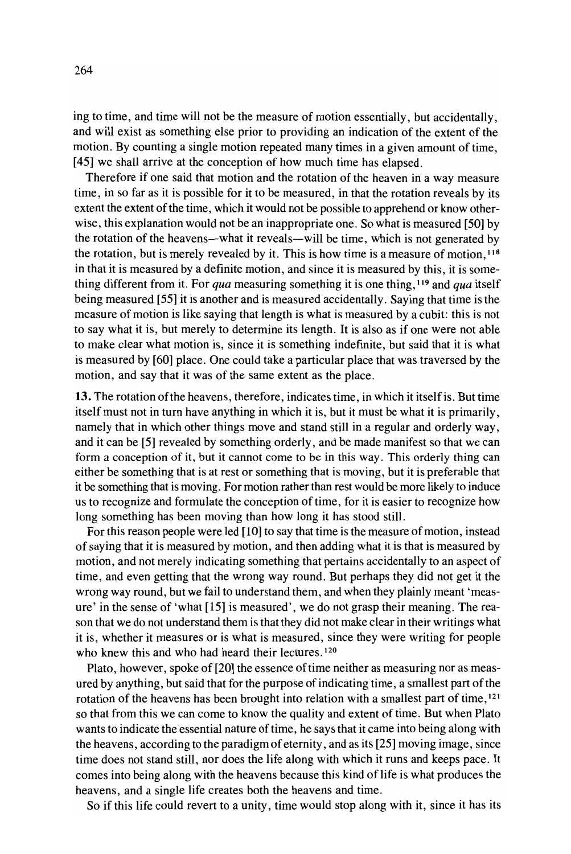ing to time, and time will not be the measure of motion essentially, but accidentally, and will exist as something else prior to providing an indication of the extent of the motion. By counting a single motion repeated many times in a given amount of time, [45] we shall arrive at the conception of how much time has elapsed.

Therefore if one said that motion and the rotation of the heaven in a way measure time, in so far as it is possible for it to be measured, in that the rotation reveals by its extent the extent of the time, which it would not be possible to apprehend or know otherwise, this explanation would not be an inappropriate one. So what is measured [50] by the rotation of the heavens-what it reveals-will be time, which is not generated by the rotation, but is merely revealed by it. This is how time is a measure of motion, <sup>118</sup> in that it is measured by a definite motion, and since it is measured by this, it is something different from it. For *qua* measuring something it is one thing, <sup>119</sup> and *qua* itself being measured [55] it is another and is measured accidentally. Saying that time is the measure of motion is like saying that length is what is measured by a cubit: this is not to say what it is, but merely to determine its length. It is also as if one were not able to make clear what motion is, since it is something indefinite, but said that it is what is measured by [60] place. One could take a particular place that was traversed by the motion, and say that it was of the same extent as the place.

13. The rotation of the heavens, therefore, indicates time, in which it itself is. But time itself must not in turn have anything in which it is, but it must be what it is primarily, namely that in which other things move and stand still in a regular and orderly way, and it can be [5] revealed by something orderly, and be made manifest so that we can form a conception of it, but it cannot come to be in this way. This orderly thing can either be something that is at rest or something that is moving, but it is preferable that it be something that is moving. For motion rather than rest would be more likely to induce us to recognize and formulate the conception oftime, for it is easier to recognize how long something has been moving than how long it has stood still.

For this reason people were led [10] to say that time is the measure of motion, instead of saying that it is measured by motion, and then adding what it is that is measured by motion, and not merely indicating something that pertains accidentally to an aspect of time, and even getting that the wrong way round. But perhaps they did not get it the wrong way round, but we fail to understand them, and when they plainly meant 'measure' in the sense of 'what [15] is measured', we do not grasp their meaning. The reason that we do not understand them is that they did not make clear in their writings what it is, whether it measures or is what is measured, since they were writing for people who knew this and who had heard their lectures.<sup>120</sup>

Plato, however, spoke of [20] the essence of time neither as measuring nor as measured by anything, but said that for the purpose of indicating time, a smallest part of the rotation of the heavens has been brought into relation with a smallest part of time, <sup>121</sup> so that from this we can come to know the quality and extent of time. But when Plato wants to indicate the essential nature of time, he says that it came into being along with the heavens, according to the paradigm of eternity, and as its [25] moving image, since time does not stand still, nor does the life along with which it runs and keeps pace. It comes into being along with the heavens because this kind of life is what produces the heavens, and a single life creates both the heavens and time.

So if this life could revert to a unity, time would stop along with it, since it has its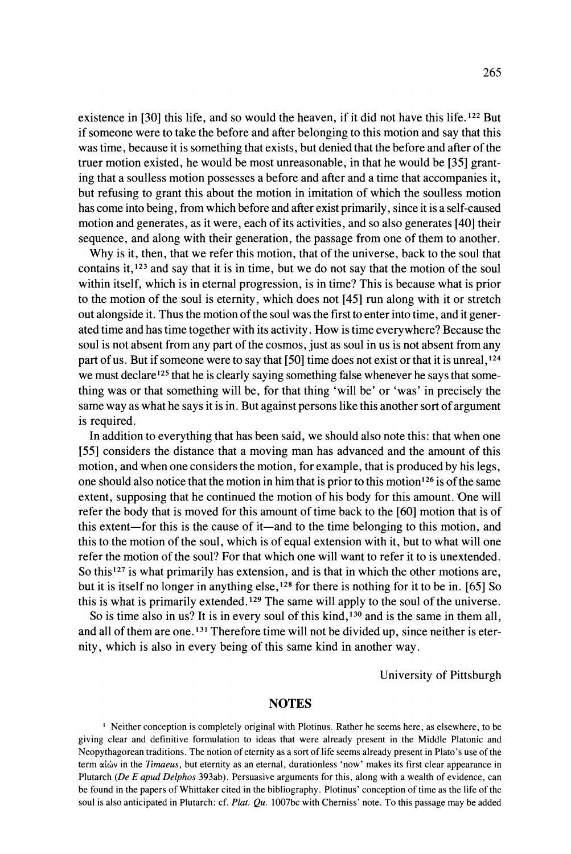existence in [30] this life, and so would the heaven, if it did not have this life. <sup>122</sup> But ifsomeone were to take the before and after belonging to this motion and say that this was time, because it is something that exists, but denied that the before and after ofthe truer motion existed, he would be most unreasonable, in that he would be [35] granting that a soulless motion possesses a before and after and a time that accompanies it, but refusing to grant this about the motion in imitation of which the soulless motion has come into being, from which before and after exist primarily, since it is a self-caused motion and generates, as it were, each of its activities, and so also generates [40] their sequence, and along with their generation, the passage from one of them to another.

Why is it, then, that we refer this motion, that of the universe, back to the soul that contains it, <sup>123</sup> and say that it is in time, but we do not say that the motion of the soul within itself, which is in eternal progression, is in time? This is because what is prior to the motion of the soul is eternity, which does not [45] run along with it or stretch out alongside it. Thus the motion of the soul was the first to enter into time, and it generated time and has time together with its activity. How is time everywhere? Because the soul is not absent from any part of the cosmos, just as soul in us is not absent from any part of us. But if someone were to say that [50] time does not exist or that it is unreal,  $124$ we must declare<sup>125</sup> that he is clearly saying something false whenever he says that something was or that something will be, for that thing 'will be' or 'was' in precisely the same way as what he says it is in. But against persons like this another sort of argument is required.

In addition to everything that has been said, we should also note this: that when one [55] considers the distance that a moving man has advanced and the amount of this motion, and when one considers the motion, for example, that is produced by his legs, one should also notice that the motion in him that is prior to this motion<sup>126</sup> is of the same extent, supposing that he continued the motion of his body for this amount. 'One will refer the body that is moved for this amount of time back to the [60] motion that is of this extent-for this is the cause of it-and to the time belonging to this motion, and this to the motion ofthe soul, which is of equal extension with it, but to what will one refer the motion of the soul? For that which one will want to refer it to is unextended. So this  $127$  is what primarily has extension, and is that in which the other motions are, but it is itself no longer in anything else, <sup>128</sup> for there is nothing for it to be in. [65] So this is what is primarily extended. <sup>129</sup> The same will apply to the soul of the universe.

So is time also in us? It is in every soul of this kind,  $130$  and is the same in them all, and all of them are one.<sup>131</sup> Therefore time will not be divided up, since neither is eternity, which is also in every being of this same kind in another way.

University of Pittsburgh

#### NOTES

<sup>I</sup> Neither conception is completely original with Plotinus. Rather he seems here, as elsewhere, to be giving clear and definitive formulation to ideas that were already present in the Middle Platonic and Neopythagorean traditions. The notion of eternity as a sort of life seems already present in Plato's use of the term αἰών in the *Timaeus*, but eternity as an eternal, durationless 'now' makes its first clear appearance in Plutarch *(De E apud Delphos* 393ab). Persuasive arguments for this, along with a wealth of evidence, can be found in the papers of Whittaker cited in the bibliography. Plotinus' conception of time as the life of the soul is also anticipated in Plutarch: cf. *Plat. Qu.* I007bc with Cherniss' note. To this passage may be added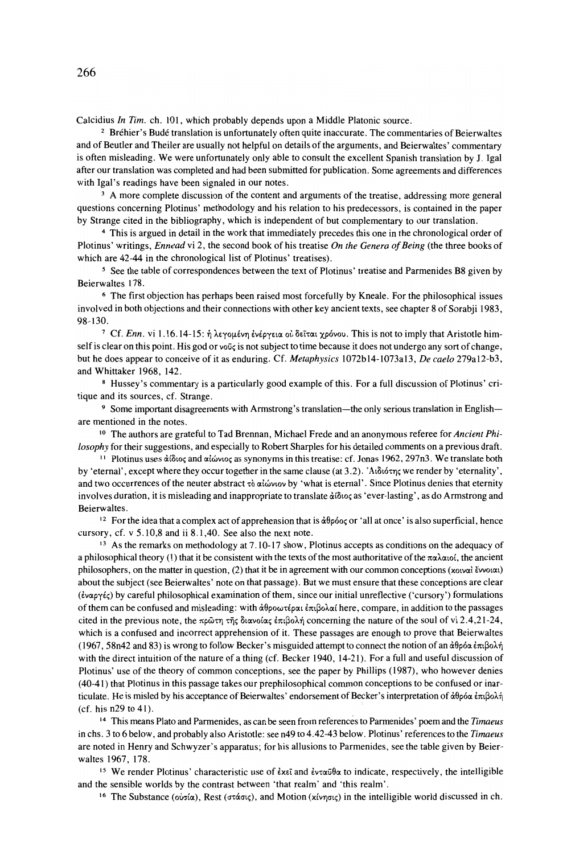Calcidius *In Tim.* ch. 101, which probably depends upon a Middle Platonic source.

<sup>2</sup> Bréhier's Budé translation is unfortunately often quite inaccurate. The commentaries of Beierwaltes and of Beutler and Theiler are usually not helpful on details of the arguments, and Beierwaltes' commentary is often misleading. We were unfortunately only able to consult the excellent Spanish translation by J. Igal after our translation was completed and had been submitted for publication. Some agreements and differences with Igal's readings have been signaled in our notes.

<sup>3</sup> A more complete discussion of the content and arguments of the treatise, addressing more general questions concerning Plotinus' methodology and his relation to his predecessors, is contained in the paper by Strange cited in the bibliography, which is independent of but complementary to our translation.

<sup>4</sup> This is argued in detail in the work that immediately precedes this one in the chronological order of Plotinus' writings, *Ennead* vi 2, the second book of his treatise *On the Genera 0/Being* (the three books of which are 42-44 in the chronological list of Plotinus' treatises).

<sup>5</sup> See the table of correspondences between the text of Plotinus' treatise and Parmenides B8 given by Beierwaltes 178.

<sup>6</sup> The first objection has perhaps been raised most forcefully by Kneale. For the philosophical issues involved in both objections and their connections with other key ancient texts, see chapter 8 of Sorabji 1983, 98-130.

<sup>7</sup> Cf. *Enn*. vi 1.16.14-15: ή λεγομένη ενέργεια ού δεΐται χρόνου. This is not to imply that Aristotle himself is clear on this point. His god or voug is not subject to time because it does not undergo any sort of change, but he does appear to conceive of it as enduring. Cf. *Metaphysics* 1072bI4-1073aI3, *De caelo* 279aI2-b3, and Whittaker 1968, 142.

<sup>8</sup> Hussey's commentary is a particularly good example of this. For a full discussion of Plotinus' critique and its sources, cf. Strange.

<sup>9</sup> Some important disagreements with Armstrong's translation—the only serious translation in English are mentioned in the notes.

<sup>10</sup> The authors are grateful to Tad Brennan, Michael Frede and an anonymous referee for *Ancient Philosophy* for their suggestions, and especially to Robert Sharples for his detailed comments on a previous draft.

<sup>11</sup> Plotinus uses άίδιος and αίώνιος as synonyms in this treatise: cf. Jonas 1962, 297n3. We translate both by 'eternal', except where they occur together in the same clause (at 3.2). 'A $\delta$  $\delta$  $\gamma$ <sub>S</sub> we render by 'eternality', and two occurrences of the neuter abstract τὸ αἰώνιον by 'what is eternal'. Since Plotinus denies that eternity involves duration, it is misleading and inappropriate to translate  $\dot{\alpha}$  ( $\delta$ io<sub>s</sub> as 'ever-lasting', as do Armstrong and Beierwaltes.

<sup>12</sup> For the idea that a complex act of apprehension that is  $\dot{\alpha}\theta\rho\dot{\alpha}$  or 'all at once' is also superficial, hence eursory, cf. v 5. 10,8 and ii 8. 1,40. See also the next note.

<sup>13</sup> As the remarks on methodology at 7.10-17 show, Plotinus accepts as conditions on the adequacy of a philosophical theory (1) that it be consistent with the texts of the most authoritative of the  $\pi\alpha\lambda\alpha$  is, the ancient philosophers, on the matter in question,  $(2)$  that it be in agreement with our common conceptions (xowat Evvolat) about the subject (see Beierwaltes' note on that passage). But we must ensure that these conceptions are clear  $(\omega \alpha \gamma \epsilon_5)$  by careful philosophical examination of them, since our initial unreflective ('cursory') formulations of them can be confused and misleading: with άθροωτέραι επιβολαί here, compare, in addition to the passages cited in the previous note, the  $\pi p \bar{\omega} \tau \eta \tau \bar{\eta} \zeta \delta \alpha w \omega (\alpha \zeta \partial x)$  concerning the nature of the soul of vi 2.4,21-24, which is a confused and incorrect apprehension of it. These passages are enough to prove that Beierwaltes (1967, 58n42 and 83) is wrong to follow Becker's misguided attempt to connect the notion of an  $\dot{\alpha}\theta$ ρόα έπιβολή with the direct intuition of the nature of a thing (cf. Becker 1940, 14-21). For a full and useful discussion of Plotinus' use of the theory of common conceptions, see the paper by Phillips (1987), who however denies (40-41) that Plotinus in this passage takes our prephilosophical common conceptions to be confused or inarticulate. He is misled by his acceptance of Beierwaltes' endorsement of Becker's interpretation of άθρόα έπιβολή (cf. his n29 to 41).

<sup>14</sup> This means Plato and Pannenides, as can be seen from references to Pannenides' poem and the *Timaeus* in chs. 3 to 6 below, and probably also Aristotle: see n49 to 4.42-43 below. Plotinus' referencesto the *Timaeus* are noted in Henry and Schwyzer's apparatus; for his allusions to Parmenides, see the table given by Beierwaltes 1967, 178.

<sup>15</sup> We render Plotinus' characteristic use of  $\epsilon x \epsilon \bar{x}$  and  $\epsilon y \epsilon x \bar{y}$  to indicate, respectively, the intelligible and the sensible worlds by the contrast between 'that realm' and 'this realm'.

<sup>16</sup> The Substance (οὐσία), Rest (στάσις), and Motion (xίνησις) in the intelligible world discussed in ch.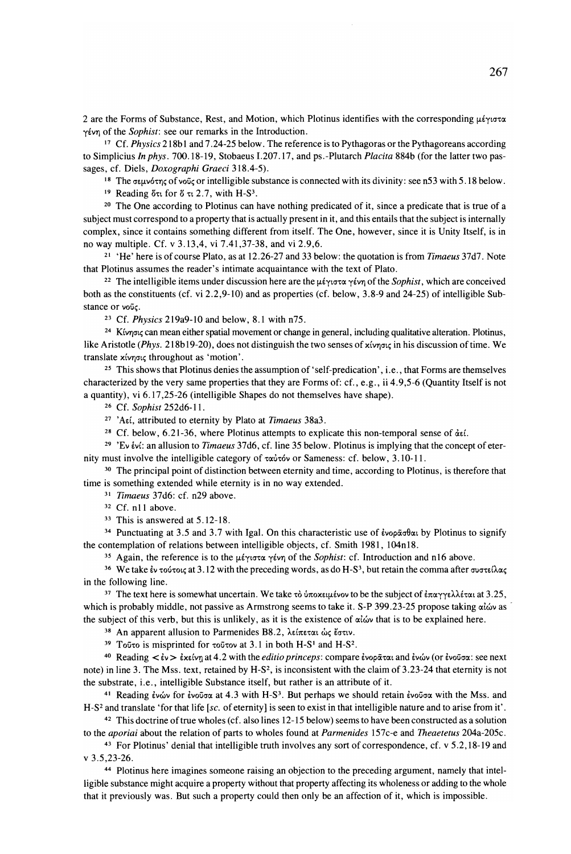2 are the Forms of Substance, Rest, and Motion, which Plotinus identifies with the corresponding  $\mu \epsilon \gamma \omega \tau \alpha$ γένη of the *Sophist*: see our remarks in the Introduction.

<sup>17</sup> Cf. *Physics* 218bl and 7.24-25 below. The reference is to Pythagoras or the Pythagoreans according to Simplicius *In phys.* 700.18-19, Stobaeus 1.207.17, and ps.-Plutarch *Placita* 884b (for the latter two passages, cf. Diels, *Doxographi Graeci 318.4-5).*

<sup>18</sup> The σεμνότης of νοῦς or intelligible substance is connected with its divinity: see n53 with 5.18 below.

 $19$  Reading ότι for δ τι 2.7, with H-S<sup>3</sup>.

<sup>20</sup> The One according to Plotinus can have nothing predicated of it, since a predicate that is true of a subject must correspond to a property that is actually present in it, and this entails that the subject is internally complex, since it contains something different from itself. The One, however, since it is Unity Itself, is in no way multiple. Cf. v 3.13,4, vi 7.41,37-38, and vi 2.9,6.

<sup>21</sup> 'He' here is of course Plato, as at 12.26-27 and 33 below: the quotation is from *Timaeus* 37d7. Note that Plotinus assurnes the reader's intimate acquaintance with the text of Plato.

<sup>22</sup> The intelligible items under discussion here are the  $\mu \epsilon \gamma \tau \sigma \gamma \epsilon \gamma \eta$  of the *Sophist*, which are conceived both as the constituents (cf. vi 2.2,9-10) and as properties (cf. below, 3.8-9 and 24-25) of intelligible Substance or vouc.

<sup>23</sup> Cf. *Physics* 219a9-10 and below, 8.1 with n75.

<sup>24</sup> Κίνησις can mean either spatial movement or change in general, including qualitative alteration. Plotinus, like Aristotle (Phys. 218b19-20), does not distinguish the two senses of xίνησις in his discussion of time. We translate xίνησις throughout as 'motion'.

<sup>25</sup> This shows that Plotinus denies the assumption of 'self-predication', i.e., that Forms are themselves characterized by the very same properties that they are Forms of: cf., e.g., ii 4.9,5-6 (Quantity Itself is not a quantity), vi 6.17,25-26 (intelligible Shapes do not themselves have shape).

<sup>26</sup> Cf. *Sophist* 252d6-11.

<sup>27</sup> 'AEL, attributed to eternity by Plato at *Timaeus* 38a3.

<sup>28</sup> Cf. below, 6.21-36, where Plotinus attempts to explicate this non-temporal sense of  $\dot{\alpha} \epsilon$ .

<sup>29</sup> 'Ev *ivi*: an allusion to *Timaeus* 37d6, cf. line 35 below. Plotinus is implying that the concept of eternity must involve the intelligible category of  $\tau$ αύτόν or Sameness: cf. below, 3.10-11.

<sup>30</sup> The principal point of distinction between eternity and time, according to Plotinus, is therefore that time is something extended while eternity is in no way extended.

<sup>31</sup> *Timaeus* 37d6: cf. n29 above.

<sup>32</sup> Cf. nIl above.

33 This is answered at 5.12-18.

<sup>34</sup> Punctuating at 3.5 and 3.7 with Igal. On this characteristic use of  $\epsilon_{\text{vog}}\tilde{\alpha}$  by Plotinus to signify the contemplation of relations between intelligible objects, cf. Smith 1981, l04nI8.

<sup>35</sup> Again, the reference is to the  $\mu\acute{\epsilon}\gamma\sigma\sigma\alpha\gamma\acute{\epsilon}\nu\eta$  of the *Sophist*: cf. Introduction and n16 above.

<sup>36</sup> We take  $\epsilon$ ν τούτοις at 3.12 with the preceding words, as do H-S<sup>3</sup>, but retain the comma after συστείλας in the following line.

<sup>37</sup> The text here is somewhat uncertain. We take τὸ ὑποχειμένον to be the subject of ἐπαγγελλέται at 3.25, which is probably middle, not passive as Armstrong seems to take it. S-P 399.23-25 propose taking  $\alpha\dot{\omega}$  as the subject of this verb, but this is unlikely, as it is the existence of  $\alpha\hat{\omega}$  that is to be explained here.

<sup>38</sup> An apparent allusion to Parmenides B8.2, λείπεται ώς έστιν.

 $39$  Toῦτo is misprinted for τοῦτον at 3.1 in both H-S<sup>1</sup> and H-S<sup>2</sup>.

<sup>40</sup> Reading  $\lt \epsilon v \gt \epsilon x \epsilon v \eta$  at 4.2 with the *editio princeps*: compare ένορᾶται and ἐνών (or ἐνοῦσα: see next note) in line 3. The Mss. text, retained by H-S<sup>2</sup>, is inconsistent with the claim of 3.23-24 that eternity is not the substrate, i.e., intelligible Substance itself, but rather is an attribute of it.

<sup>41</sup> Reading ενών for ενοῦσα at 4.3 with H-S<sup>3</sup>. But perhaps we should retain ενοῦσα with the Mss. and H-S2 and translate 'for that life *[sc.* of eternity] is seen to exist in that intelligible nature and to arise from it'.

<sup>42</sup> This doctrine oftrue wholes (cf. also lines 12-15 below) seems to have been constructed as a solution to the *aporiai* about the relation of parts to wholes found at *Parmenides* 157c-e and *Theaetetus* 204a-205c.

<sup>43</sup> For Plotinus' denial that intelligible truth involves any sort of correspondence, cf. v 5.2,18-19 and v 3.5,23-26.

44 Plotinus here imagines someone raising an objection to the preceding argument, namely that intelligible substance might acquire a property without that property affecting its wholeness or adding to the whole that it previously was. But such a property could then only be an affection of it, which is impossible.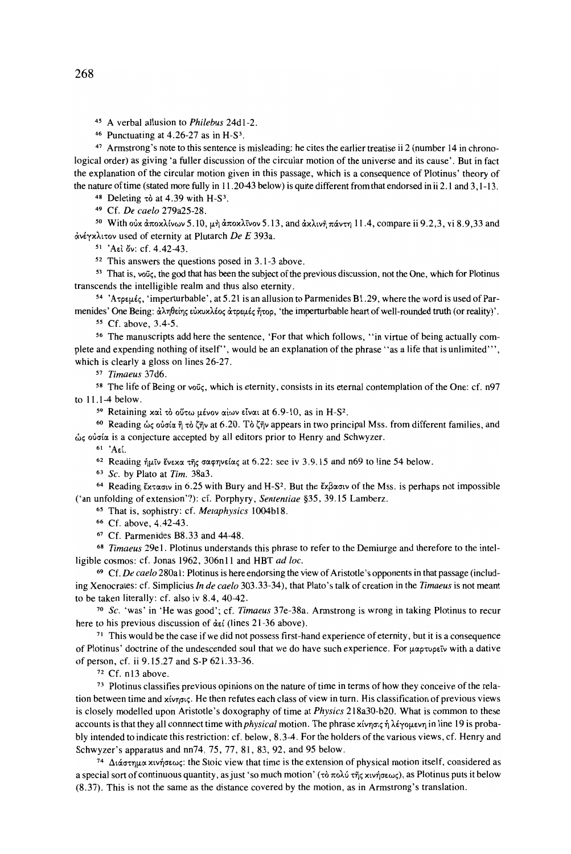<sup>45</sup> A verbal allusion to *Philebus* 24dl-2.

46 Punctuating at 4.26-27 as in H-S3.

<sup>47</sup> Armstrong's note to this sentence is misleading: he cites the earlier treatise ii 2 (number 14 in chronological order) as giving 'a fuller discussion of the circular motion of the universe and its cause'. But in fact the explanation of the circular motion given in this passage, which is a consequence of Plotinus' theory of the nature oftime (stated more fully in 11.20-43 below) is quite different from thatendorsed in ii 2.1 and 3,1-13.

<sup>48</sup> Deleting  $\tau\dot{\sigma}$  at 4.39 with H-S<sup>3</sup>.

49 Cf. *De caelo* 279a25-28.

<sup>50</sup> With οὐχ ἀποχλίνων 5.10, μὴ ἀποχλῖνον 5.13, and ἀχλινῆ πάντη 11.4, compare ii 9.2,3, vi 8.9,33 and ανέγχλιτον used of eternity at Plutarch *De E* 393a.

 $51$  'A<sub>E</sub>l  $\ddot{o}$ v: cf. 4.42-43.

52 This answers the questions posed in 3.1-3 above.

<sup>53</sup> That is, νοῦς, the god that has been the subject of the previous discussion, not the One, which for Plotinus transcends the intelligible realm and thus also eternity.

<sup>54</sup> 'Ατρεμές, 'imperturbable', at 5.21 is an allusion to Parmenides B1.29, where the word is used of Parmenides' One Being: άληθείης εὐχυχλέος άτρεμές ήτορ, 'the imperturbable heart of well-rounded truth (or reality)'.

<sup>55</sup> Cf. above, 3.4-5.

<sup>56</sup> The manuscripts add here the sentence, 'For that which follows, "in virtue of being actually complete and expending nothing of itself", would be an explanation of the phrase' 'as a life that is unlimited"', which is clearly a gloss on lines 26-27.

<sup>57</sup> *Timaeus* 37d6.

58 The life of Being or νοῦς, which is eternity, consists in its eternal contemplation of the One: cf. n97 to 11.1-4 below.

59 Retaining και το ούτω μένον αίων είναι at 6.9-10, as in H-S<sup>2</sup>.

<sup>60</sup> Reading ώς οὐσία ἢ τὸ ζῆν at 6.20. Tò ζῆν appears in two principal Mss. from different families, and ώς ούσία is a conjecture accepted by all editors prior to Henry and Schwyzer.

 $61$  'Αεί.

 $62$  Reading ήμῖν ἕνεχα τῆς σαφηνείας at 6.22: see iv 3.9.15 and n69 to line 54 below.

*<sup>63</sup> Sc.* by Plato at *Tim.* 38a3.

<sup>64</sup> Reading Extasty in 6.25 with Bury and H-S<sup>2</sup>. But the Ex $\beta \alpha \sigma \nu$  of the Mss. is perhaps not impossible ('an unfolding of extension'?): cf. Porphyry, *Sententiae* §35, 39.15 Lamberz.

<sup>65</sup> That is, sophistry: cf. *Metaphysics* 1004b18.

66 Cf. above, 4.42-43.

<sup>67</sup> Cf. Parmenides B8. 33 and 44-48.

*<sup>68</sup> Timaeus* 2ge1. Plotinus understands this phrase to refer to the Demiurge and therefore to the intelligible cosmos: cf. Jonas 1962, 306n11 and HBT *ad loc.*

<sup>69</sup> Cf. *De caelo* 280a1: Plotinus is here endorsing the view of Aristotle's opponents in that passage (including Xenocrates: cf. Simplicius *In de caelo* 303.33-34), that Plato's talk of creation in the *Timaeus* is not meant to be taken literally: cf. also iv 8.4, 40-42.

<sup>70</sup> *Sc.* 'was' in 'He was good'; cf. *Timaeus* 37e-38a. Armstrong is wrong in taking Plotinus to recur here to his previous discussion of  $\det$  (lines 21-36 above).

<sup>71</sup> This would be the case if we did not possess first-hand experience of eternity, but it is a consequence of Plotinus' doctrine of the undescended soul that we do have such experience. For  $\mu\alpha\rho\tau\upsilon\rho\epsilon\tilde{\upsilon}$  with a dative of person, cf. ii 9.15.27 and S-P 621.33-36.

<sup>72</sup> Cf. n13 above.

<sup>73</sup> Plotinus classifies previous opinions on the nature oftime in terms of how they conceive ofthe relation between time and χίνησις. He then refutes each class of view in turn. His classification of previous views is closely modelled upon Aristotle's doxography of time at *Physics* 218a30-b20. What is common to these accounts is that they all connnect time with *physical* motion. The phrase xίνησις ή λέγομενη in line 19 is probably intended to indicate this restriction: cf. below, 8.3-4. For the holders ofthe various views, cf. Henry and Schwyzer's apparatus and nn74, 75, 77, 81, 83, 92, and 95 below.

<sup>74</sup> Διάστημα χινήσεως: the Stoic view that time is the extension of physical motion itself, considered as a special sort of continuous quantity, as just 'so much motion' ( $\tau$ )  $\tau$ o $\lambda$ ύ  $\tau$  $\tilde{\tau}$ ς xινήσεως), as Plotinus puts it below (8.37). This is not the same as the distance covered by the motion, as in Armstrong's translation.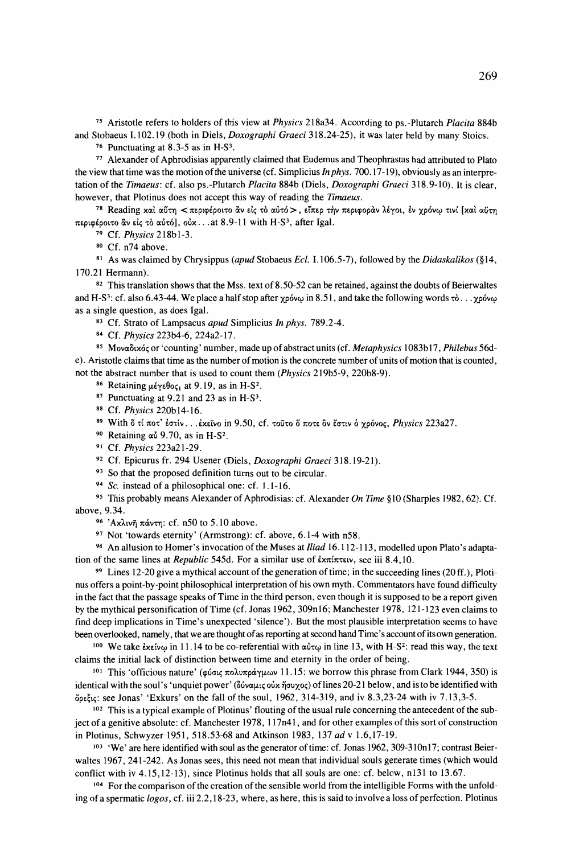<sup>75</sup> Aristotle refers to holders of this view at *Physics* 218a34. According to ps.-Plutarch *Placita* 884b and Stobaeus 1.102.19 (both in Diels, *Doxographi Graeci* 318.24-25), it was later held by many Stoics.

76 Punctuating at 8.3-5 as in H-S3.

<sup>77</sup> Alexander of Aphrodisias apparently claimed that Eudemus and Theophrastus had attributed to Plato the view that time was the motion ofthe universe (cf. Simplicius *In phys.* 700. 17-19), obviously as an interpretation ofthe *Timaeus:* cf. also ps.-Plutarch *Placita* 884b (Diels, *Doxographi Graeci* 318.9-10). It is clear, however, that Plotinus does not accept this way of reading the *Timaeus.*

78 Reading χαι αύτη < περιφέροιτο ἂν είς τὸ αὐτό >, εἴπερ τὴν περιφορὰν λέγοι, ἐν χρόνω τινί [χαι αύτη περιφέροιτο ἂν είς τὸ αὐτό], οὐχ... at 8.9-11 with H-S<sup>3</sup>, after Igal.

79 Cf. *Physics* 218b 1-3.

<sup>80</sup> Cf. n74 above.

<sup>81</sup> As was claimed by Chrysippus *(apud* Stobaeus *Ecl.* 1.106.5-7), followed by the *Didaskalikos* (§14, 170.21 Hermann).

 $82$  This translation shows that the Mss. text of 8.50-52 can be retained, against the doubts of Beierwaltes and H-S<sup>3</sup>: cf. also 6.43-44. We place a half stop after  $\chi \rho \omega \omega$  in 8.51, and take the following words  $\tau \delta$ ...  $\chi \rho \omega \omega$ as a single question, as does Igal.

<sup>83</sup> Cf. Strato of Lampsacus *apud* Simplicius *In phys.* 789.2-4.

84 Cf. *Physics* 223b4-6, 224a2-17.

85 Mova<sub>b</sub>ux<sup>6</sup>c or 'counting' number, made up of abstract units (cf. *Metaphysics* 1083b17, *Philebus* 56de). Aristotle claims that time as the number of motion is the concrete number of units of motion that is counted, not the abstract number that is used to count them *(Physics* 219b5-9, 220b8-9).

<sup>86</sup> Retaining μέγεθος, at 9.19, as in H-S<sup>2</sup>.

<sup>87</sup> Punctuating at 9.21 and 23 as in H-S3.

<sup>88</sup> Cf. *Physics* 220bI4-16.

<sup>89</sup> With ὄ τί ποτ' έστιν ... έχεῖνο in 9.50, cf. τοῦτο ὅ ποτε ὂν ἔστιν ὁ χρόνος, *Physics* 223a27.

90 Retaining  $\alpha$ <sup>U</sup> 9.70, as in H-S<sup>2</sup>.

<sup>91</sup> Cf. *Physics* 223a21-29.

92 Cf. Epicurus fr. 294 Usener (Diels, *Doxographi Graeci* 318. 19-21).

93 So that the proposed definition turns out to be circular.

<sup>94</sup> *Sc.* instead of a philosophical one: cf. 1.1-16.

<sup>95</sup> This probably means Alexander of Aphrodisias: cf. Alexander *On Time* §10 (Sharples 1982,62). Cf. above, 9.34.

96 'Αχλινη πάντη: cf. n50 to 5.10 above.

97 Not 'towards eternity' (Armstrong): cf. above, 6.1-4 with n58.

<sup>98</sup> An allusion to Homer's invocation ofthe Muses at *Iliad* 16.112-113, modelled upon Plato's adaptation of the same lines at *Republic* 545d. For a similar use of έχπίπτειν, see iii 8.4,10.

99 Lines 12-20 give a mythical account of the generation of time; in the succeeding lines (20 ff.), Plotinus offers a point-by-point philosophical interpretation of his own myth. Commentators have found difficulty in the fact that the passage speaks of Time in the third person, even though it is supposed to be a report given by the mythical personification ofTime (cf. Jonas 1962, 309n16; Manchester 1978,121-123 even claims to find deep implications in Time's unexpected 'silence'). But the most plausible interpretation seems to have been overlooked, namely, that we are thought of as reporting at second hand Time's account ofits own generation.

100 We take  $\epsilon x \epsilon \omega \omega$  in 11.14 to be co-referential with  $\alpha \nu \tau \omega$  in line 13, with H-S<sup>2</sup>: read this way, the text claims the initial lack of distinction between time and eternity in the order of being.

<sup>101</sup> This 'officious nature' (φύσις πολυπράγμων 11.15: we borrow this phrase from Clark 1944, 350) is identical with the soul's 'unquiet power' (δύναμις οὐχ ήσυχος) of lines 20-21 below, and is to be identified with  $\delta$ <sub>o</sub>  $\epsilon$ <sub>i</sub> see Jonas' 'Exkurs' on the fall of the soul, 1962, 314-319, and iv 8.3,23-24 with iv 7.13,3-5.

<sup>102</sup> This is a typical example of Plotinus' flouting of the usual rule concerning the antecedent of the subject of a genitive absolute: cf. Manchester 1978, 117n41, and for other examples ofthis sort of construction in Plotinus, Schwyzer 1951,518.53-68 and Atkinson 1983,137 *ad* v 1.6,17-19.

<sup>103</sup> 'We' are here identified with soul as the generator of time: cf. Jonas 1962, 309-310n17; contrast Beierwaltes 1967, 241-242. As Jonas sees, this need not mean that individual souls generate times (which would conflict with iv 4.15,12-13), since Plotinus holds that all souls are one: cf. below, n131 to 13.67.

<sup>104</sup> For the comparison of the creation of the sensible world from the intelligible Forms with the unfolding of a spermatic *logos*, cf. iii 2.2,18-23, where, as here, this is said to involve a loss of perfection. Plotinus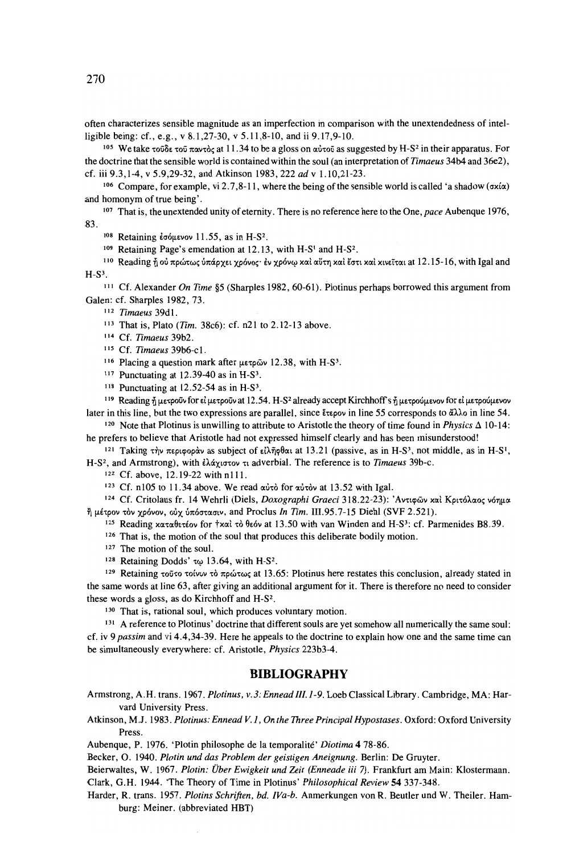often characterizes sensible magnitude as an imperfection in comparison with the unextendedness of intelligible being: cf., e.g., v 8.1,27-30, v 5.11,8-10, and ii 9.17,9-10.

<sup>105</sup> We take τοῦδε τοῦ παντὸς at 11.34 to be a gloss on αὐτοῦ as suggested by H-S<sup>2</sup> in their apparatus. For the doctrine that the sensible world is contained within the soul (an interpretation of *Timaeus* 34b4 and 36e2), cf. iii 9.3,1-4, v 5.9,29-32, and Atkinson 1983, 222 *ad* v 1.10,21-23.

<sup>106</sup> Compare, for example, vi 2.7,8-11, where the being of the sensible world is called 'a shadow ( $\sigma x/\alpha$ ) and homonym of true being'.

<sup>107</sup> That is, the unextended unity of etemity. There is no reference here to the One, *pace* Aubenque 1976, 83.

 $108$  Retaining έσόμενον 11.55, as in H-S<sup>2</sup>.

109 Retaining Page's emendation at 12.13, with H-S<sup>1</sup> and H-S<sup>2</sup>.

<sup>110</sup> Reading ή ού πρώτως ύπάρχει χρόνος· έν χρόνω και αύτη και έστι και κινείται at 12.15-16, with Igal and  $H-S<sup>3</sup>$ .

<sup>111</sup> Cf. Alexander *On Time* §5 (Sharples 1982, 60-61). Plotinus perhaps borrowed this argument from Galen: cf. Sharples 1982, 73.

<sup>112</sup> *Timaeus* 39dl.

- 113 That is, Plato *(Tim.* 38c6): cf. n21 to 2.12-13 above.
- 114 Cf. *Timaeus* 39b2.
- 115 Cf. *Timaeus* 39b6-c1.
- $116$  Placing a question mark after μετρῶν 12.38, with H-S<sup>3</sup>.
- $117$  Punctuating at 12.39-40 as in H-S<sup>3</sup>.
- $118$  Punctuating at 12.52-54 as in H-S<sup>3</sup>.

119 Reading ή μετροΰν for εί μετροΰν at 12.54. H-S<sup>2</sup> already accept Kirchhoff's ή μετρούμενον for εί μετρούμενον later in this line, but the two expressions are parallel, since  $\epsilon_{\text{teoov}}$  in line 55 corresponds to  $\alpha\lambda\lambda_0$  in line 54.

<sup>120</sup> Note that Plotinus is unwilling to attribute to Aristotle the theory of time found in *Physics*  $\Delta$  10-14: he prefers to believe that Aristotle had not expressed himself clearly and has been misunderstood!

<sup>121</sup> Taking την περιφοράν as subject of είληφθαι at 13.21 (passive, as in H-S<sup>3</sup>, not middle, as in H-S<sup>1</sup>, H-S<sup>2</sup>, and Armstrong), with *ελάχιστον* τι adverbial. The reference is to *Timaeus* 39b-c.

<sup>122</sup> Cf. above, 12.19-22 with nllI.

<sup>123</sup> Cf. n105 to 11.34 above. We read αύτὸ for αὐτὸν at 13.52 with Igal.

<sup>124</sup> Cf. Critolaus fr. 14 Wehrli (Diels, *Doxographi Graeci* 318.22-23): 'Αντιφῶν καὶ Κριτόλαος νόημα  $η$  μέτρον τὸν χρόνον, οὐχ ὑπόστασιν, and Proclus *In Tim. III.95.7-15 Diehl (SVF 2.521).* 

- $125$  Reading xαταθετέον for  $\dagger$ xαὶ τὸ θεόν at 13.50 with van Winden and H-S<sup>3</sup>: cf. Parmenides B8.39.
- 126 That is, the motion of the soul that produces this deliberate bodily motion.
- <sup>127</sup> The motion of the soul.
- 128 Retaining Dodds'  $\tau\omega$  13.64, with H-S<sup>2</sup>.

 $129$  Retaining τοῦτο τοίνυν τὸ πρώτως at 13.65: Plotinus here restates this conclusion, already stated in the same words at line 63, after giving an additional argument for it. There is therefore no need to consider these words a gloss, as do Kirchhoff and H-S2.

130 That is, rational soul, which produces voluntary motion.

<sup>131</sup> A reference to Plotinus' doctrine that different souls are yet somehow all numerically the same soul: cf. iv 9 *passim* and vi 4.4,34-39. Here he appeals to the doctrine to explain how one and the same time can be simultaneously everywhere: cf. Aristotle, *Physics* 223b3-4.

#### **BIBLIOGRAPHY**

- Armstrong, A.H. trans. 1967. *Plotinus, v.3: Ennead III.1-9.* Loeb Classical Library. Cambridge, MA: Harvard University Press.
- Atkinson, *M.l.* 1983. *Plotinus: Ennead V.l, On the 1hree Principal Hypostases.* Oxford: Oxford University Press.

Aubenque, P. 1976. 'Plotin philosophe de la temporalite' *Diotima* 4 78-86.

Becker, O. 1940. *Plotin und das Problem der geistigen Aneignung.* Berlin: De Gruyter.

Beierwaltes, W. 1967. *Plotin: Über Ewigkeit und Zeit (Enneade iii* 7). Frankfurt am Main: Klostermann. Clark, G.H. 1944. 'The Theory of Time in Plotinus' *Philosophical Review* **54337-348.**

Harder, R. trans. 1957. *Plotins Schriften, bd. [Va-b.* Anmerkungen von R. Beutler und W. Theiler. Hamburg: Meiner. (abbreviated HBT)

270